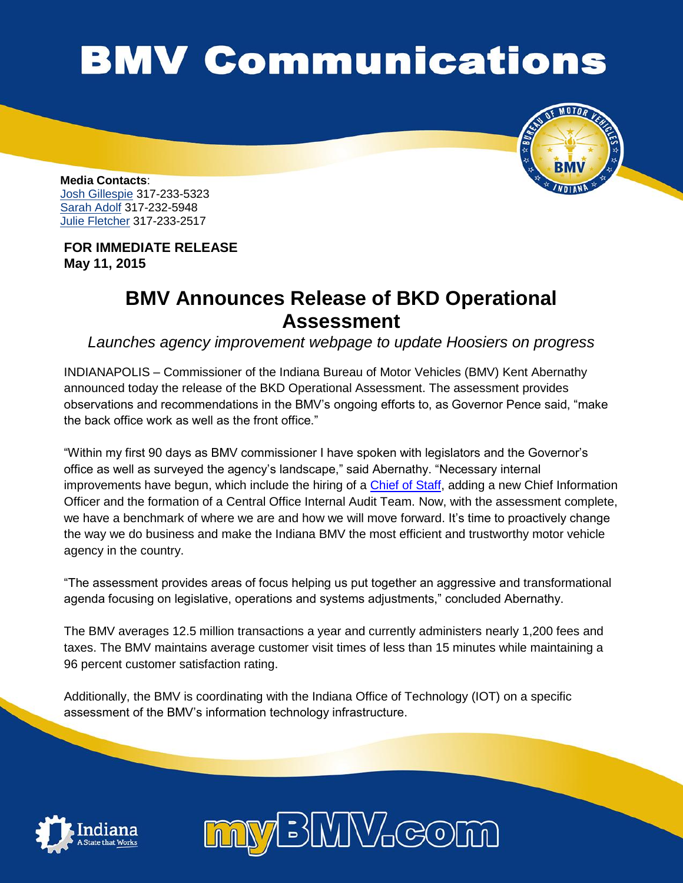## **BMV Communications**



**Media Contacts**: Josh Gillespie 317-233-5323 Sarah Adolf 317-232-5948 Julie Fletcher 317-233-2517

**FOR IMMEDIATE RELEASE May 11, 2015**

## **BMV Announces Release of BKD Operational Assessment**

*Launches agency improvement webpage to update Hoosiers on progress*

INDIANAPOLIS – Commissioner of the Indiana Bureau of Motor Vehicles (BMV) Kent Abernathy announced today the release of the BKD Operational Assessment. The assessment provides observations and recommendations in the BMV's ongoing efforts to, as Governor Pence said, "make the back office work as well as the front office."

"Within my first 90 days as BMV commissioner I have spoken with legislators and the Governor's office as well as surveyed the agency's landscape," said Abernathy. "Necessary internal improvements have begun, which include the hiring of a [Chief of Staff,](http://www.in.gov/bmv/files/BMV_Announces_New_Chief_of_Staff.pdf) adding a new Chief Information Officer and the formation of a Central Office Internal Audit Team. Now, with the assessment complete, we have a benchmark of where we are and how we will move forward. It's time to proactively change the way we do business and make the Indiana BMV the most efficient and trustworthy motor vehicle agency in the country.

"The assessment provides areas of focus helping us put together an aggressive and transformational agenda focusing on legislative, operations and systems adjustments," concluded Abernathy.

The BMV averages 12.5 million transactions a year and currently administers nearly 1,200 fees and taxes. The BMV maintains average customer visit times of less than 15 minutes while maintaining a 96 percent customer satisfaction rating.

Additionally, the BMV is coordinating with the Indiana Office of Technology (IOT) on a specific assessment of the BMV's information technology infrastructure.